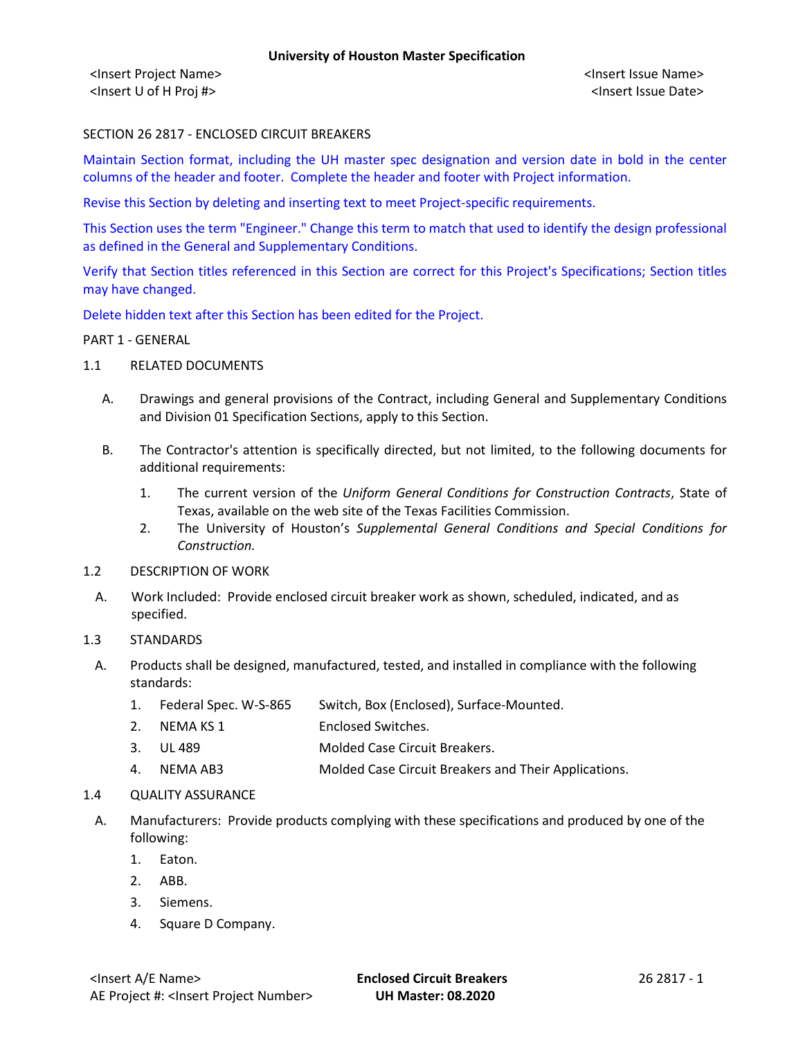<Insert Project Name> <Insert Issue Name> <Insert U of H Proj #> <Insert Issue Date>

### SECTION 26 2817 - ENCLOSED CIRCUIT BREAKERS

Maintain Section format, including the UH master spec designation and version date in bold in the center columns of the header and footer. Complete the header and footer with Project information.

Revise this Section by deleting and inserting text to meet Project-specific requirements.

This Section uses the term "Engineer." Change this term to match that used to identify the design professional as defined in the General and Supplementary Conditions.

Verify that Section titles referenced in this Section are correct for this Project's Specifications; Section titles may have changed.

Delete hidden text after this Section has been edited for the Project.

#### PART 1 - GENERAL

- 1.1 RELATED DOCUMENTS
	- A. Drawings and general provisions of the Contract, including General and Supplementary Conditions and Division 01 Specification Sections, apply to this Section.
	- B. The Contractor's attention is specifically directed, but not limited, to the following documents for additional requirements:
		- 1. The current version of the *Uniform General Conditions for Construction Contracts*, State of Texas, available on the web site of the Texas Facilities Commission.
		- 2. The University of Houston's *Supplemental General Conditions and Special Conditions for Construction.*
- 1.2 DESCRIPTION OF WORK
- A. Work Included: Provide enclosed circuit breaker work as shown, scheduled, indicated, and as specified.

#### 1.3 STANDARDS

- A. Products shall be designed, manufactured, tested, and installed in compliance with the following standards:
	- 1. Federal Spec. W-S-865 Switch, Box (Enclosed), Surface-Mounted.
	- 2. NEMA KS 1 Enclosed Switches.
	- 3. UL 489 Molded Case Circuit Breakers.
	- 4. NEMA AB3 Molded Case Circuit Breakers and Their Applications.
- 1.4 QUALITY ASSURANCE
	- A. Manufacturers: Provide products complying with these specifications and produced by one of the following:
		- 1. Eaton.
		- 2. ABB.
		- 3. Siemens.
		- 4. Square D Company.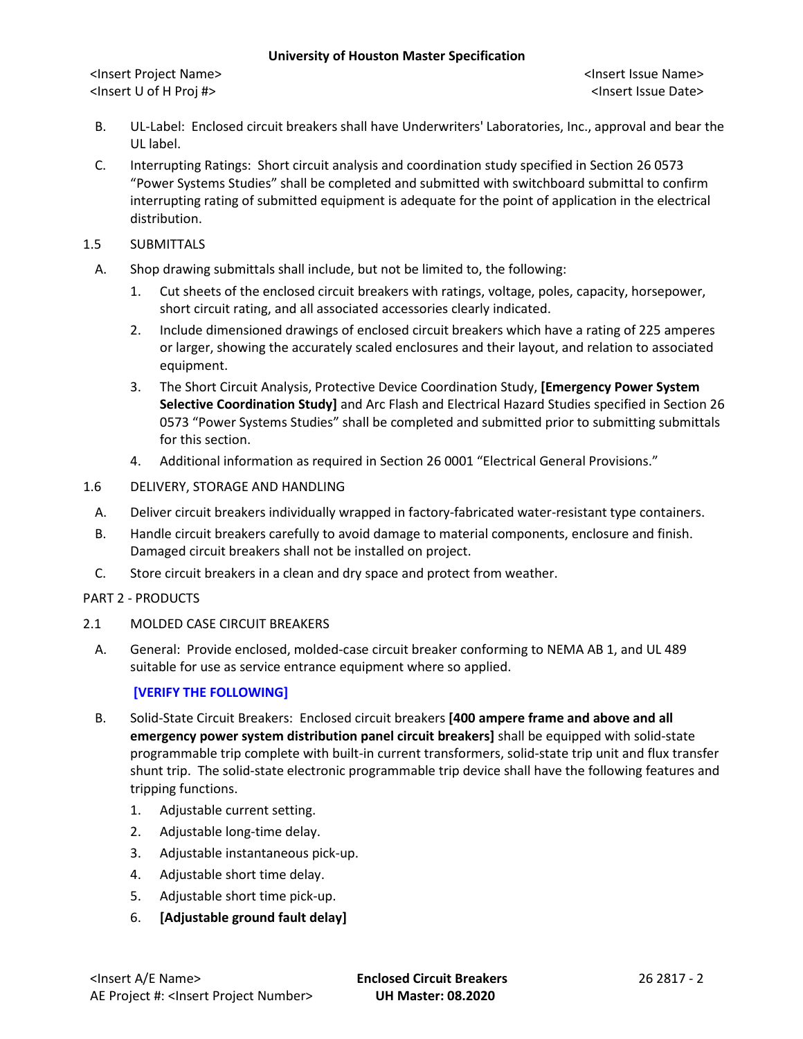#### **University of Houston Master Specification**

- B. UL-Label: Enclosed circuit breakers shall have Underwriters' Laboratories, Inc., approval and bear the UL label.
- C. Interrupting Ratings: Short circuit analysis and coordination study specified in Section 26 0573 "Power Systems Studies" shall be completed and submitted with switchboard submittal to confirm interrupting rating of submitted equipment is adequate for the point of application in the electrical distribution.
- 1.5 SUBMITTALS
	- A. Shop drawing submittals shall include, but not be limited to, the following:
		- 1. Cut sheets of the enclosed circuit breakers with ratings, voltage, poles, capacity, horsepower, short circuit rating, and all associated accessories clearly indicated.
		- 2. Include dimensioned drawings of enclosed circuit breakers which have a rating of 225 amperes or larger, showing the accurately scaled enclosures and their layout, and relation to associated equipment.
		- 3. The Short Circuit Analysis, Protective Device Coordination Study, **[Emergency Power System Selective Coordination Study]** and Arc Flash and Electrical Hazard Studies specified in Section 26 0573 "Power Systems Studies" shall be completed and submitted prior to submitting submittals for this section.
		- 4. Additional information as required in Section 26 0001 "Electrical General Provisions."

# 1.6 DELIVERY, STORAGE AND HANDLING

- A. Deliver circuit breakers individually wrapped in factory-fabricated water-resistant type containers.
- B. Handle circuit breakers carefully to avoid damage to material components, enclosure and finish. Damaged circuit breakers shall not be installed on project.
- C. Store circuit breakers in a clean and dry space and protect from weather.

# PART 2 - PRODUCTS

- 2.1 MOLDED CASE CIRCUIT BREAKERS
	- A. General: Provide enclosed, molded-case circuit breaker conforming to NEMA AB 1, and UL 489 suitable for use as service entrance equipment where so applied.

# **[VERIFY THE FOLLOWING]**

- B. Solid-State Circuit Breakers: Enclosed circuit breakers **[400 ampere frame and above and all emergency power system distribution panel circuit breakers]** shall be equipped with solid-state programmable trip complete with built-in current transformers, solid-state trip unit and flux transfer shunt trip. The solid-state electronic programmable trip device shall have the following features and tripping functions.
	- 1. Adjustable current setting.
	- 2. Adjustable long-time delay.
	- 3. Adjustable instantaneous pick-up.
	- 4. Adjustable short time delay.
	- 5. Adjustable short time pick-up.
	- 6. **[Adjustable ground fault delay]**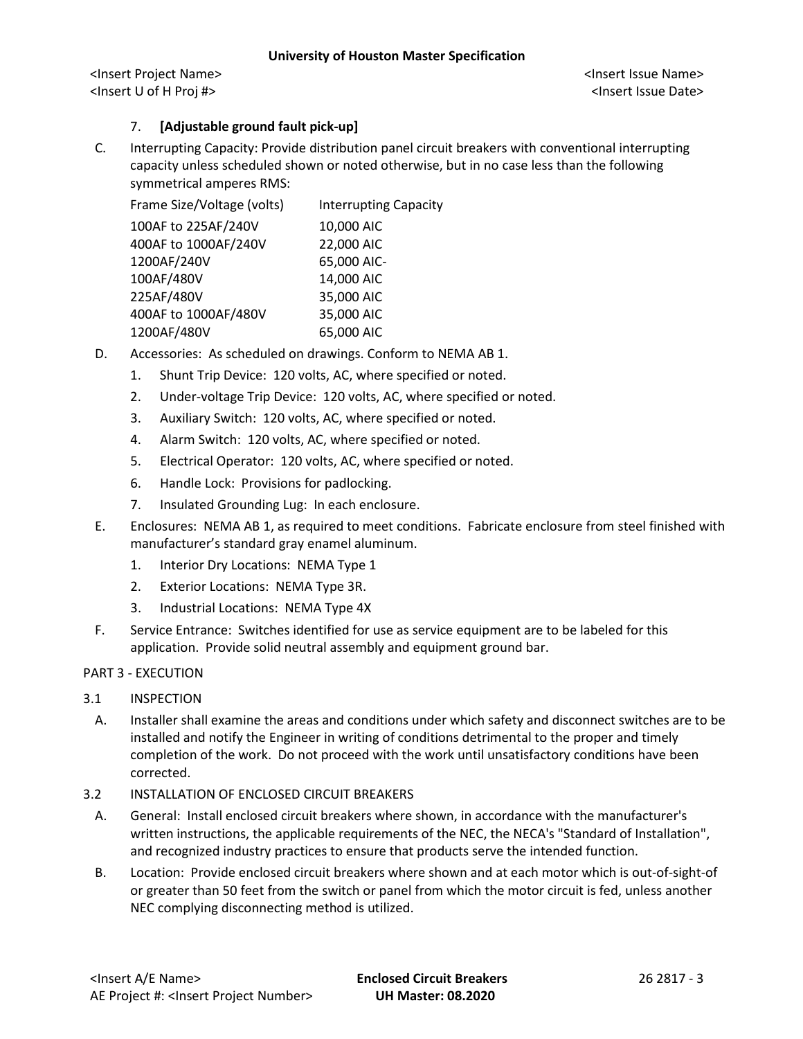<Insert Project Name> <Insert Issue Name> <Insert U of H Proj #> <Insert Issue Date>

# 7. **[Adjustable ground fault pick-up]**

C. Interrupting Capacity: Provide distribution panel circuit breakers with conventional interrupting capacity unless scheduled shown or noted otherwise, but in no case less than the following symmetrical amperes RMS:

| Frame Size/Voltage (volts) | <b>Interrupting Capacity</b> |
|----------------------------|------------------------------|
| 100AF to 225AF/240V        | 10,000 AIC                   |
| 400AF to 1000AF/240V       | 22,000 AIC                   |
| 1200AF/240V                | 65,000 AIC-                  |
| 100AF/480V                 | 14,000 AIC                   |
| 225AF/480V                 | 35,000 AIC                   |
| 400AF to 1000AF/480V       | 35,000 AIC                   |
| 1200AF/480V                | 65,000 AIC                   |
|                            |                              |

- D. Accessories: As scheduled on drawings. Conform to NEMA AB 1.
	- 1. Shunt Trip Device: 120 volts, AC, where specified or noted.
	- 2. Under-voltage Trip Device: 120 volts, AC, where specified or noted.
	- 3. Auxiliary Switch: 120 volts, AC, where specified or noted.
	- 4. Alarm Switch: 120 volts, AC, where specified or noted.
	- 5. Electrical Operator: 120 volts, AC, where specified or noted.
	- 6. Handle Lock: Provisions for padlocking.
	- 7. Insulated Grounding Lug: In each enclosure.
- E. Enclosures: NEMA AB 1, as required to meet conditions. Fabricate enclosure from steel finished with manufacturer's standard gray enamel aluminum.
	- 1. Interior Dry Locations: NEMA Type 1
	- 2. Exterior Locations: NEMA Type 3R.
	- 3. Industrial Locations: NEMA Type 4X
- F. Service Entrance: Switches identified for use as service equipment are to be labeled for this application. Provide solid neutral assembly and equipment ground bar.

# PART 3 - EXECUTION

- 3.1 INSPECTION
	- A. Installer shall examine the areas and conditions under which safety and disconnect switches are to be installed and notify the Engineer in writing of conditions detrimental to the proper and timely completion of the work. Do not proceed with the work until unsatisfactory conditions have been corrected.
- 3.2 INSTALLATION OF ENCLOSED CIRCUIT BREAKERS
- A. General: Install enclosed circuit breakers where shown, in accordance with the manufacturer's written instructions, the applicable requirements of the NEC, the NECA's "Standard of Installation", and recognized industry practices to ensure that products serve the intended function.
- B. Location: Provide enclosed circuit breakers where shown and at each motor which is out-of-sight-of or greater than 50 feet from the switch or panel from which the motor circuit is fed, unless another NEC complying disconnecting method is utilized.